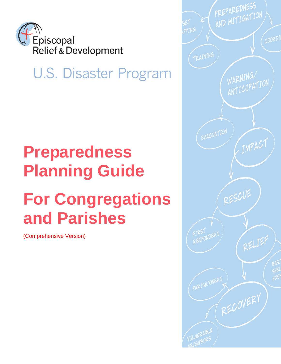

**U.S. Disaster Program** 

# **Preparedness Planning Guide**

# **For Congregations and Parishes**

(Comprehensive Version)

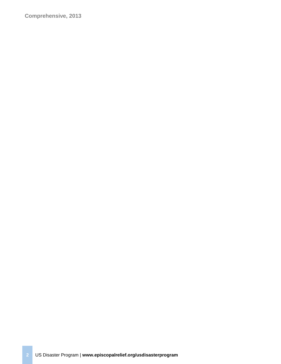**Comprehensive, 2013**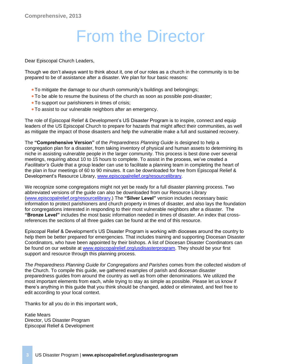# From the Director

Dear Episcopal Church Leaders,

Though we don't always want to think about it, one of our roles as a church in the community is to be prepared to be of assistance after a disaster. We plan for four basic reasons:

- To mitigate the damage to our church community's buildings and belongings;
- To be able to resume the business of the church as soon as possible post-disaster;
- To support our parishioners in times of crisis;
- To assist to our vulnerable neighbors after an emergency.

The role of Episcopal Relief & Development's US Disaster Program is to inspire, connect and equip leaders of the US Episcopal Church to prepare for hazards that might affect their communities, as well as mitigate the impact of those disasters and help the vulnerable make a full and sustained recovery.

The **"Comprehensive Version"** of the *Preparedness Planning Guide* is designed to help a congregation plan for a disaster, from taking inventory of physical and human assets to determining its niche in assisting vulnerable people in the larger community. This process is best done over several meetings, requiring about 10 to 15 hours to complete. To assist in the process, we've created a *Facilitator's Guide* that a group leader can use to facilitate a planning team in completing the heart of the plan in four meetings of 60 to 90 minutes. It can be downloaded for free from Episcopal Relief & Development's Resource Library, [www.episcopalrelief.org/resourcelibrary.](http://www.episcopalrelief.org/resourcelibrary)

We recognize some congregations might not yet be ready for a full disaster planning process. Two abbreviated versions of the guide can also be downloaded from our Resource Library [\(www.episcopalrelief.org/resourcelibrary.](http://www.episcopalrelief.org/resourcelibrary)) The **"Silver Level"** version includes necessary basic information to protect parishioners and church property in times of disaster, and also lays the foundation for congregations interested in responding to their most vulnerable neighbors after a disaster. The **"Bronze Level"** includes the most basic information needed in times of disaster. An index that crossreferences the sections of all three guides can be found at the end of this resource.

Episcopal Relief & Development's US Disaster Program is working with dioceses around the country to help them be better prepared for emergencies. That includes training and supporting Diocesan Disaster Coordinators, who have been appointed by their bishops. A list of Diocesan Disaster Coordinators can be found on our website at [www.episcopalrelief.org/usdisasterprogram.](http://www.episcopalrelief.org/usdisasterprogram) They should be your first support and resource through this planning process.

*The Preparedness Planning Guide for Congregations and Parishes* comes from the collected wisdom of the Church. To compile this guide, we gathered examples of parish and diocesan disaster preparedness guides from around the country as well as from other denominations. We utilized the most important elements from each, while trying to stay as simple as possible. Please let us know if there's anything in this guide that you think should be changed, added or eliminated, and feel free to edit according to your local context.

Thanks for all you do in this important work,

Katie Mears Director, US Disaster Program Episcopal Relief & Development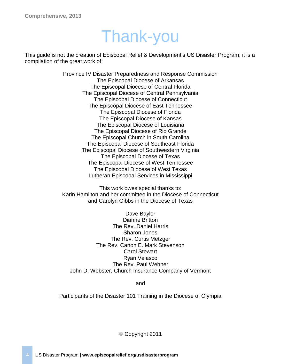# Thank-you

This guide is not the creation of Episcopal Relief & Development's US Disaster Program; it is a compilation of the great work of:

> Province IV Disaster Preparedness and Response Commission The Episcopal Diocese of Arkansas The Episcopal Diocese of Central Florida The Episcopal Diocese of Central Pennsylvania The Episcopal Diocese of Connecticut The Episcopal Diocese of East Tennessee The Episcopal Diocese of Florida The Episcopal Diocese of Kansas The Episcopal Diocese of Louisiana The Episcopal Diocese of Rio Grande The Episcopal Church in South Carolina The Episcopal Diocese of Southeast Florida The Episcopal Diocese of Southwestern Virginia The Episcopal Diocese of Texas The Episcopal Diocese of West Tennessee The Episcopal Diocese of West Texas Lutheran Episcopal Services in Mississippi

> This work owes special thanks to: Karin Hamilton and her committee in the Diocese of Connecticut and Carolyn Gibbs in the Diocese of Texas

Dave Baylor Dianne Britton The Rev. Daniel Harris Sharon Jones The Rev. Curtis Metzger The Rev. Canon E. Mark Stevenson Carol Stewart Ryan Velasco The Rev. Paul Wehner John D. Webster, Church Insurance Company of Vermont

and

Participants of the Disaster 101 Training in the Diocese of Olympia

© Copyright 2011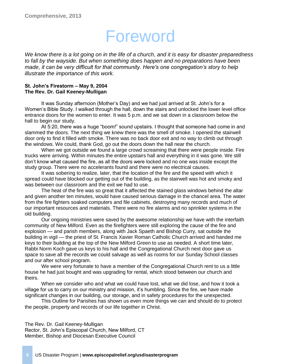# Foreword

*We know there is a lot going on in the life of a church, and it is easy for disaster preparedness to fall by the wayside. But when something does happen and no preparations have been made, it can be very difficult for that community. Here's one congregation's story to help illustrate the importance of this work.*

#### **St. John's Firestorm – May 9, 2004 The Rev. Dr. Gail Keeney-Mulligan**

It was Sunday afternoon (Mother's Day) and we had just arrived at St. John's for a Women's Bible Study. I walked through the hall, down the stairs and unlocked the lower level office entrance doors for the women to enter. It was 5 p.m. and we sat down in a classroom below the hall to begin our study.

At 5:20, there was a huge "boom!" sound upstairs. I thought that someone had come in and slammed the doors. The next thing we knew there was the smell of smoke. I opened the stairwell door only to find it filled with smoke. There was no back door exit and no way to climb out through the windows. We could, thank God, go out the doors down the hall near the church.

When we got outside we found a large crowd screaming that there were people inside. Fire trucks were arriving. Within minutes the entire upstairs hall and everything in it was gone. We still don't know what caused the fire, as all the doors were locked and no one was inside except the study group. There were no accelerants found and there were no electrical causes.

It was sobering to realize, later, that the location of the fire and the speed with which it spread could have blocked our getting out of the building, as the stairwell was hot and smoky and was between our classroom and the exit we had to use.

The heat of the fire was so great that it affected the stained glass windows behind the altar and given another ten minutes, would have caused serious damage in the chancel area. The water from the fire fighters soaked computers and file cabinets, destroying many records and much of our important resources and materials. There were no fire alarms and no sprinkler systems in the old building.

Our ongoing ministries were saved by the awesome relationship we have with the interfaith community of New Milford. Even as the firefighters were still exploring the cause of the fire and explosion — and parish members, along with Jack Spaeth and Bishop Curry, sat outside the building in vigil — the priest of St. Francis Xavier Roman Catholic Church arrived and handed me keys to their building at the top of the New Milford Green to use as needed. A short time later, Rabbi Norm Koch gave us keys to his hall and the Congregational Church next door gave us space to save all the records we could salvage as well as rooms for our Sunday School classes and our after school program.

We were very fortunate to have a member of the Congregational Church rent to us a little house he had just bought and was upgrading for rental, which stood between our church and theirs.

When we consider who and what we could have lost, what we did lose, and how it took a village for us to carry on our ministry and mission, it's humbling. Since the fire, we have made significant changes in our building, our storage, and in safety procedures for the unexpected.

This Outline for Parishes has shown us even more things we can and should do to protect the people, property and records of our life together in Christ.

The Rev. Dr. Gail Keeney-Mulligan Rector, St. John's Episcopal Church, New Milford, CT Member, Bishop and Diocesan Executive Council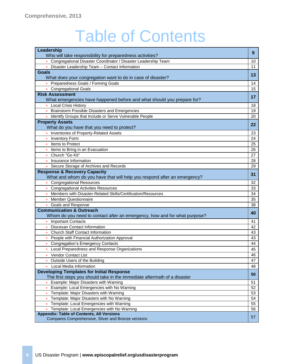# Table of Contents

| Leadership                                                                                                                    | 9  |
|-------------------------------------------------------------------------------------------------------------------------------|----|
| Who will take responsibility for preparedness activities?<br>• Congregational Disaster Coordinator / Disaster Leadership Team | 10 |
| • Disaster Leadership Team - Contact Information                                                                              | 11 |
| <b>Goals</b>                                                                                                                  |    |
| What does your congregation want to do in case of disaster?                                                                   | 13 |
| • Preparedness Goals / Forming Goals                                                                                          | 14 |
| • Congregational Goals                                                                                                        | 15 |
| <b>Risk Assessment</b>                                                                                                        |    |
| What emergencies have happened before and what should you prepare for?                                                        | 17 |
| • Local Crisis History                                                                                                        | 18 |
| • Brainstorm Possible Disasters and Emergencies                                                                               | 19 |
| • Identify Groups that Include or Serve Vulnerable People                                                                     | 20 |
| <b>Property Assets</b>                                                                                                        | 22 |
| What do you have that you need to protect?                                                                                    |    |
| • Inventories of Property-Related Assets                                                                                      | 23 |
| $\bullet$ Inventory Form                                                                                                      | 24 |
| • Items to Protect                                                                                                            | 25 |
| • Items to Bring in an Evacuation                                                                                             | 26 |
| • Church "Go Kit"                                                                                                             | 27 |
| • Insurance Information                                                                                                       | 28 |
| • Secure Storage of Archives and Records                                                                                      | 29 |
| <b>Response &amp; Recovery Capacity</b>                                                                                       | 31 |
| What and whom do you have that will help you respond after an emergency?                                                      |    |
| • Congregational Resources                                                                                                    | 32 |
| • Congregational Activities Resources                                                                                         | 33 |
| • Members with Disaster-Related Skills/Certification/Resources                                                                | 34 |
| <b>Member Questionnaire</b><br>$\bullet$                                                                                      | 35 |
| • Goals and Response                                                                                                          | 38 |
| <b>Communication &amp; Outreach</b>                                                                                           | 40 |
| Whom do you need to contact after an emergency, how and for what purpose?                                                     |    |
| • Important Contacts                                                                                                          | 41 |
| • Diocesan Contact Information                                                                                                | 42 |
| <b>Church Staff Contact Information</b><br>$\bullet$                                                                          | 43 |
| • People with Financial Authorization Approval                                                                                | 43 |
| <b>Congregation's Emergency Contacts</b>                                                                                      | 44 |
| • Local Preparedness and Response Organizations                                                                               | 45 |
| Vendor Contact List                                                                                                           | 46 |
| Outside Users of the Building                                                                                                 | 47 |
| Local Media Information<br>٠                                                                                                  | 48 |
| <b>Developing Templates for Initial Response</b>                                                                              | 50 |
| The first steps you should take in the immediate aftermath of a disaster                                                      |    |
| Example: Major Disasters with Warning                                                                                         | 51 |
| Example: Local Emergencies with No Warning                                                                                    | 52 |
| Template: Major Disasters with Warning                                                                                        | 53 |
| • Template: Major Disasters with No Warning                                                                                   | 54 |
| • Template: Local Emergencies with Warning                                                                                    | 55 |
| Template: Local Emergencies with No Warning<br>$\bullet$<br><b>Appendix: Table of Contents, All Versions</b>                  | 56 |
| Compares Comprehensive, Silver and Bronze versions                                                                            | 57 |
|                                                                                                                               |    |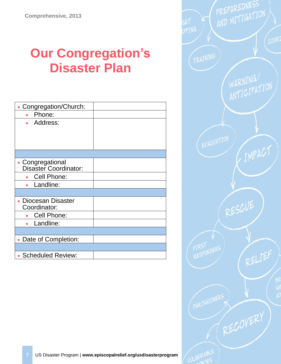# **Our Congregation's Disaster Plan**

| Congregation/Church:<br>Phone:<br>• Address:                    |  |
|-----------------------------------------------------------------|--|
|                                                                 |  |
| • Congregational<br><b>Disaster Coordinator:</b><br>Cell Phone: |  |
| Landline:                                                       |  |
| Diocesan Disaster<br>Coordinator:                               |  |
| Cell Phone:<br>Landline:                                        |  |
| Date of Completion:                                             |  |
| <b>Scheduled Review:</b>                                        |  |

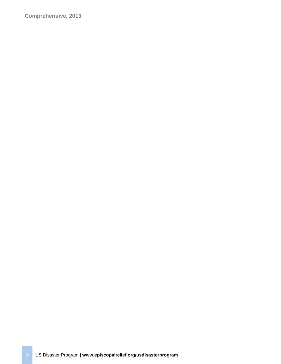**Comprehensive, 2013**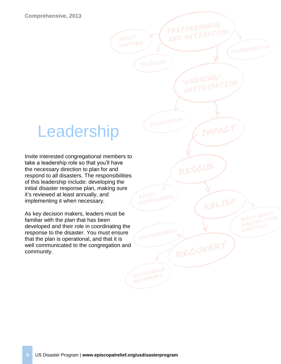# **Leadership**

PREPAREDNESS PREPAREUNESS

WARNING/

RESCUE

RECOVERY

WARNING

IMPACT

RELIEF

Invite interested congregational members to take a leadership role so that you'll have the necessary direction to plan for and respond to all disasters. The responsibilities of this leadership include: developing the initial disaster response plan, making sure it's reviewed at least annually, and implementing it when necessary.

As key decision makers, leaders must be familiar with the plan that has been developed and their role in coordinating the response to the disaster. You must ensure that the plan is operational, and that it is well communicated to the congregation and community.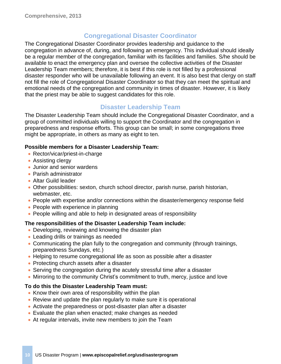# **Congregational Disaster Coordinator**

The Congregational Disaster Coordinator provides leadership and guidance to the congregation in advance of, during, and following an emergency. This individual should ideally be a regular member of the congregation, familiar with its facilities and families. S/he should be available to enact the emergency plan and oversee the collective activities of the Disaster Leadership Team members; therefore, it is best if this role is not filled by a professional disaster responder who will be unavailable following an event. It is also best that clergy on staff not fill the role of Congregational Disaster Coordinator so that they can meet the spiritual and emotional needs of the congregation and community in times of disaster. However, it is likely that the priest may be able to suggest candidates for this role.

## **Disaster Leadership Team**

The Disaster Leadership Team should include the Congregational Disaster Coordinator, and a group of committed individuals willing to support the Coordinator and the congregation in preparedness and response efforts. This group can be small; in some congregations three might be appropriate, in others as many as eight to ten.

#### **Possible members for a Disaster Leadership Team:**

- Rector/vicar/priest-in-charge
- Assisting clergy
- Junior and senior wardens
- Parish administrator
- Altar Guild leader
- Other possibilities: sexton, church school director, parish nurse, parish historian, webmaster, etc.
- People with expertise and/or connections within the disaster/emergency response field
- People with experience in planning
- People willing and able to help in designated areas of responsibility

#### **The responsibilities of the Disaster Leadership Team include:**

- Developing, reviewing and knowing the disaster plan
- Leading drills or trainings as needed
- Communicating the plan fully to the congregation and community (through trainings, preparedness Sundays, etc.)
- Helping to resume congregational life as soon as possible after a disaster
- Protecting church assets after a disaster
- Serving the congregation during the acutely stressful time after a disaster
- Mirroring to the community Christ's commitment to truth, mercy, justice and love

#### **To do this the Disaster Leadership Team must:**

- Know their own area of responsibility within the plan
- Review and update the plan regularly to make sure it is operational
- Activate the preparedness or post-disaster plan after a disaster
- Evaluate the plan when enacted; make changes as needed
- At regular intervals, invite new members to join the Team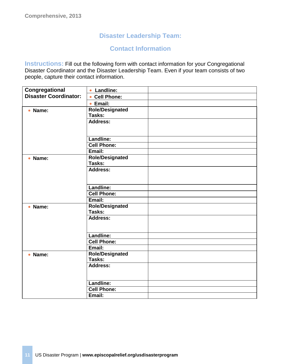# **Disaster Leadership Team:**

## **Contact Information**

**Instructions:** Fill out the following form with contact information for your Congregational Disaster Coordinator and the Disaster Leadership Team. Even if your team consists of two people, capture their contact information.

| <b>Disaster Coordinator:</b><br>• Cell Phone:<br>• Email:<br><b>Role/Designated</b><br>• Name:<br>Tasks:<br>Address:<br>Landline:<br><b>Cell Phone:</b><br>Email:<br><b>Role/Designated</b><br>• Name:<br>Tasks:<br>Address:<br>Landline:<br><b>Cell Phone:</b><br>Email:<br><b>Role/Designated</b><br>• Name:<br>Tasks:<br>Address:<br>Landline:<br><b>Cell Phone:</b><br>Email:<br><b>Role/Designated</b><br>• Name:<br>Tasks:<br><b>Address:</b><br>Landline:<br><b>Cell Phone:</b> | Congregational | • Landline: |
|----------------------------------------------------------------------------------------------------------------------------------------------------------------------------------------------------------------------------------------------------------------------------------------------------------------------------------------------------------------------------------------------------------------------------------------------------------------------------------------|----------------|-------------|
|                                                                                                                                                                                                                                                                                                                                                                                                                                                                                        |                |             |
|                                                                                                                                                                                                                                                                                                                                                                                                                                                                                        |                |             |
|                                                                                                                                                                                                                                                                                                                                                                                                                                                                                        |                |             |
|                                                                                                                                                                                                                                                                                                                                                                                                                                                                                        |                |             |
|                                                                                                                                                                                                                                                                                                                                                                                                                                                                                        |                |             |
|                                                                                                                                                                                                                                                                                                                                                                                                                                                                                        |                |             |
|                                                                                                                                                                                                                                                                                                                                                                                                                                                                                        |                |             |
|                                                                                                                                                                                                                                                                                                                                                                                                                                                                                        |                |             |
|                                                                                                                                                                                                                                                                                                                                                                                                                                                                                        |                |             |
|                                                                                                                                                                                                                                                                                                                                                                                                                                                                                        |                |             |
|                                                                                                                                                                                                                                                                                                                                                                                                                                                                                        |                |             |
|                                                                                                                                                                                                                                                                                                                                                                                                                                                                                        |                |             |
|                                                                                                                                                                                                                                                                                                                                                                                                                                                                                        |                |             |
|                                                                                                                                                                                                                                                                                                                                                                                                                                                                                        |                |             |
|                                                                                                                                                                                                                                                                                                                                                                                                                                                                                        |                |             |
|                                                                                                                                                                                                                                                                                                                                                                                                                                                                                        |                |             |
|                                                                                                                                                                                                                                                                                                                                                                                                                                                                                        |                |             |
|                                                                                                                                                                                                                                                                                                                                                                                                                                                                                        |                |             |
|                                                                                                                                                                                                                                                                                                                                                                                                                                                                                        |                |             |
|                                                                                                                                                                                                                                                                                                                                                                                                                                                                                        |                |             |
|                                                                                                                                                                                                                                                                                                                                                                                                                                                                                        |                |             |
|                                                                                                                                                                                                                                                                                                                                                                                                                                                                                        |                |             |
|                                                                                                                                                                                                                                                                                                                                                                                                                                                                                        |                |             |
|                                                                                                                                                                                                                                                                                                                                                                                                                                                                                        |                |             |
|                                                                                                                                                                                                                                                                                                                                                                                                                                                                                        |                |             |
|                                                                                                                                                                                                                                                                                                                                                                                                                                                                                        |                |             |
|                                                                                                                                                                                                                                                                                                                                                                                                                                                                                        |                |             |
|                                                                                                                                                                                                                                                                                                                                                                                                                                                                                        |                |             |
|                                                                                                                                                                                                                                                                                                                                                                                                                                                                                        |                |             |
|                                                                                                                                                                                                                                                                                                                                                                                                                                                                                        |                |             |
|                                                                                                                                                                                                                                                                                                                                                                                                                                                                                        |                |             |
|                                                                                                                                                                                                                                                                                                                                                                                                                                                                                        |                |             |
|                                                                                                                                                                                                                                                                                                                                                                                                                                                                                        |                | Email:      |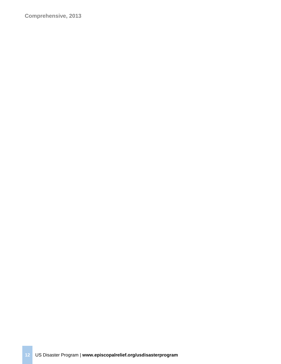**Comprehensive, 2013**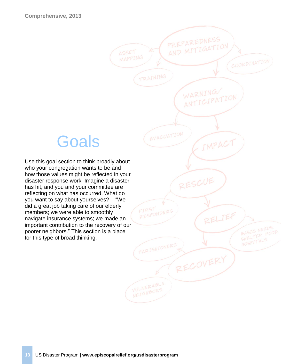# **Goals**

PREPAREDNESS PREPAREUNESTION

WARNING/

RESCUE

RECOVERY

WARNING

IMPACT

RELIEF

Use this goal section to think broadly about who your congregation wants to be and how those values might be reflected in your disaster response work. Imagine a disaster has hit, and you and your committee are reflecting on what has occurred. What do you want to say about yourselves? – "We did a great job taking care of our elderly members; we were able to smoothly navigate insurance systems; we made an important contribution to the recovery of our poorer neighbors." This section is a place for this type of broad thinking.

**13** US Disaster Program | **www.episcopalrelief.org/usdisasterprogram**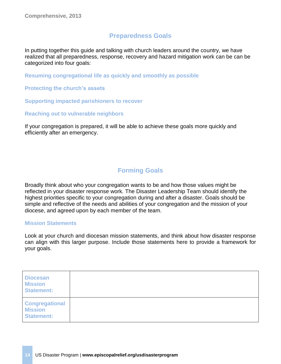### **Preparedness Goals**

In putting together this guide and talking with church leaders around the country, we have realized that all preparedness, response, recovery and hazard mitigation work can be can be categorized into four goals:

**Resuming congregational life as quickly and smoothly as possible** 

**Protecting the church's assets**

**Supporting impacted parishioners to recover**

**Reaching out to vulnerable neighbors**

If your congregation is prepared, it will be able to achieve these goals more quickly and efficiently after an emergency.

# **Forming Goals**

Broadly think about who your congregation wants to be and how those values might be reflected in your disaster response work. The Disaster Leadership Team should identify the highest priorities specific to your congregation during and after a disaster. Goals should be simple and reflective of the needs and abilities of your congregation and the mission of your diocese, and agreed upon by each member of the team.

#### **Mission Statements**

Look at your church and diocesan mission statements, and think about how disaster response can align with this larger purpose. Include those statements here to provide a framework for your goals.

| <b>Diocesan</b><br><b>Mission</b><br><b>Statement:</b>       |  |
|--------------------------------------------------------------|--|
| <b>Congregational</b><br><b>Mission</b><br><b>Statement:</b> |  |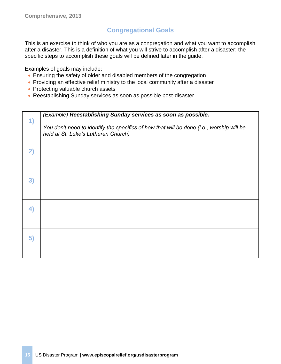# **Congregational Goals**

This is an exercise to think of who you are as a congregation and what you want to accomplish after a disaster. This is a definition of what you will strive to accomplish after a disaster; the specific steps to accomplish these goals will be defined later in the guide.

Examples of goals may include:

- Ensuring the safety of older and disabled members of the congregation
- Providing an effective relief ministry to the local community after a disaster
- Protecting valuable church assets
- Reestablishing Sunday services as soon as possible post-disaster

| 1) | (Example) Reestablishing Sunday services as soon as possible.<br>You don't need to identify the specifics of how that will be done (i.e., worship will be<br>held at St. Luke's Lutheran Church) |
|----|--------------------------------------------------------------------------------------------------------------------------------------------------------------------------------------------------|
| 2) |                                                                                                                                                                                                  |
| 3) |                                                                                                                                                                                                  |
| 4) |                                                                                                                                                                                                  |
| 5) |                                                                                                                                                                                                  |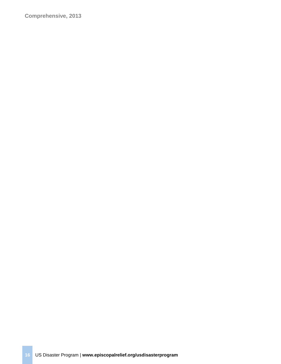**Comprehensive, 2013**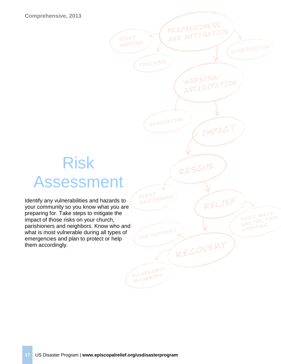PREPAREDNESS PREPAREUNESTION

WARNING/

RESCUE

RECOVERY

WARNING

IMPACT

RELIEF

# Risk Assessment

Identify any vulnerabilities and hazards to your community so you know what you are preparing for. Take steps to mitigate the impact of those risks on your church, parishioners and neighbors. Know who and what is most vulnerable during all types of emergencies and plan to protect or help them accordingly.

**17** US Disaster Program | **www.episcopalrelief.org/usdisasterprogram**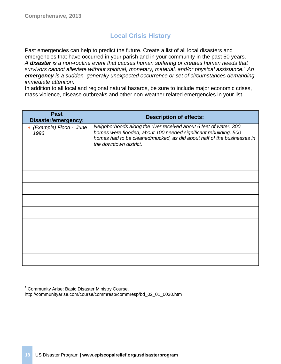# **Local Crisis History**

Past emergencies can help to predict the future. Create a list of all local disasters and emergencies that have occurred in your parish and in your community in the past 50 years. *A disaster is a non-routine event that causes human suffering or creates human needs that survivors cannot alleviate without spiritual, monetary, material, and/or physical assistance.<sup>1</sup> An emergency is a sudden, generally unexpected occurrence or set of circumstances demanding immediate attention.*

In addition to all local and regional natural hazards, be sure to include major economic crises, mass violence, disease outbreaks and other non-weather related emergencies in your list.

| <b>Past</b><br><b>Disaster/emergency:</b> | <b>Description of effects:</b>                                                                                                                                                                                                            |
|-------------------------------------------|-------------------------------------------------------------------------------------------------------------------------------------------------------------------------------------------------------------------------------------------|
| (Example) Flood - June<br>1996            | Neighborhoods along the river received about 6 feet of water. 300<br>homes were flooded, about 100 needed significant rebuilding. 500<br>homes had to be cleaned/mucked, as did about half of the businesses in<br>the downtown district. |
|                                           |                                                                                                                                                                                                                                           |
|                                           |                                                                                                                                                                                                                                           |
|                                           |                                                                                                                                                                                                                                           |
|                                           |                                                                                                                                                                                                                                           |
|                                           |                                                                                                                                                                                                                                           |
|                                           |                                                                                                                                                                                                                                           |
|                                           |                                                                                                                                                                                                                                           |
|                                           |                                                                                                                                                                                                                                           |
|                                           |                                                                                                                                                                                                                                           |
|                                           |                                                                                                                                                                                                                                           |

 $\overline{a}$ <sup>1</sup> Community Arise: Basic Disaster Ministry Course.

http://communityarise.com/course/commresp/commresp/bd\_02\_01\_0030.htm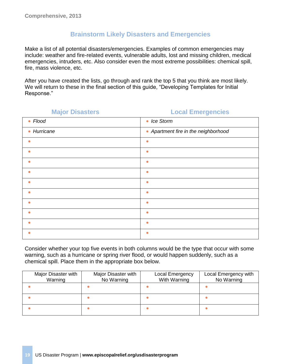# **Brainstorm Likely Disasters and Emergencies**

Make a list of all potential disasters/emergencies. Examples of common emergencies may include: weather and fire-related events, vulnerable adults, lost and missing children, medical emergencies, intruders, etc. Also consider even the most extreme possibilities: chemical spill, fire, mass violence, etc.

After you have created the lists, go through and rank the top 5 that you think are most likely. We will return to these in the final section of this guide, "Developing Templates for Initial Response."

| <b>Major Disasters</b> | <b>Local Emergencies</b>             |
|------------------------|--------------------------------------|
| $\bullet$ Flood        | Ice Storm<br>$\bullet$               |
| • Hurricane            | • Apartment fire in the neighborhood |
| ●                      | $\bullet$                            |
| $\bullet$              | $\bullet$                            |
|                        | $\bullet$                            |
|                        | $\bullet$                            |
|                        | $\bullet$                            |
| ●                      | $\bullet$                            |
|                        | $\bullet$                            |
|                        | $\bullet$                            |
|                        | $\bullet$                            |
|                        | $\bullet$                            |

Consider whether your top five events in both columns would be the type that occur with some warning, such as a hurricane or spring river flood, or would happen suddenly, such as a chemical spill. Place them in the appropriate box below.

| Major Disaster with<br>Warning | Major Disaster with<br>No Warning | Local Emergency<br>With Warning | Local Emergency with<br>No Warning |
|--------------------------------|-----------------------------------|---------------------------------|------------------------------------|
|                                |                                   |                                 |                                    |
|                                |                                   |                                 |                                    |
|                                |                                   |                                 |                                    |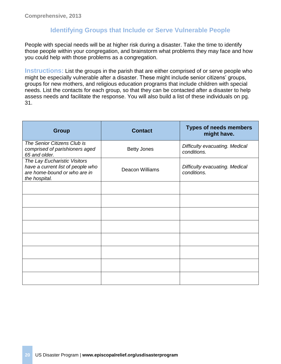### **Identifying Groups that Include or Serve Vulnerable People**

People with special needs will be at higher risk during a disaster. Take the time to identify those people within your congregation, and brainstorm what problems they may face and how you could help with those problems as a congregation.

**Instructions:** List the groups in the parish that are either comprised of or serve people who might be especially vulnerable after a disaster. These might include senior citizens' groups, groups for new mothers, and religious education programs that include children with special needs. List the contacts for each group, so that they can be contacted after a disaster to help assess needs and facilitate the response. You will also build a list of these individuals on pg. 31.

| <b>Group</b>                                                                                                       | <b>Contact</b>         | <b>Types of needs members</b><br>might have.  |
|--------------------------------------------------------------------------------------------------------------------|------------------------|-----------------------------------------------|
| The Senior Citizens Club is<br>comprised of parishioners aged<br>65 and older.                                     | <b>Betty Jones</b>     | Difficulty evacuating. Medical<br>conditions. |
| The Lay Eucharistic Visitors<br>have a current list of people who<br>are home-bound or who are in<br>the hospital. | <b>Deacon Williams</b> | Difficulty evacuating. Medical<br>conditions. |
|                                                                                                                    |                        |                                               |
|                                                                                                                    |                        |                                               |
|                                                                                                                    |                        |                                               |
|                                                                                                                    |                        |                                               |
|                                                                                                                    |                        |                                               |
|                                                                                                                    |                        |                                               |
|                                                                                                                    |                        |                                               |
|                                                                                                                    |                        |                                               |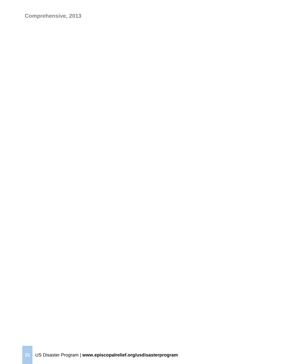**Comprehensive, 2013**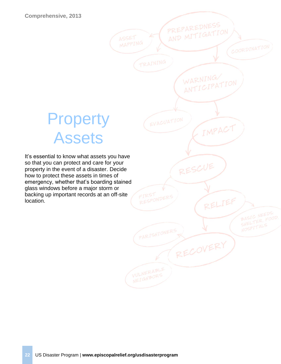**Comprehensive, 2013**

# Property Assets

PREPAREDNESS PREPAREUNESTION

WARNING/

RESCUE

RECOVERY

WARNING

IMPACT

RELIEF

It's essential to know what assets you have so that you can protect and care for your property in the event of a disaster. Decide how to protect these assets in times of emergency, whether that's boarding stained glass windows before a major storm or backing up important records at an off-site location.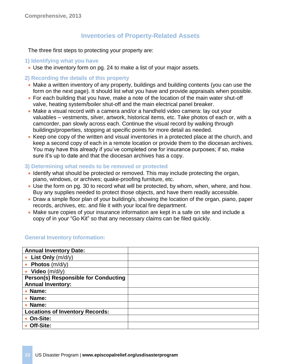# **Inventories of Property-Related Assets**

The three first steps to protecting your property are:

#### **1) Identifying what you have**

- Use the inventory form on pg. 24 to make a list of your major assets.
- **2) Recording the details of this property** 
	- Make a written inventory of any property, buildings and building contents (you can use the form on the next page). It should list what you have and provide appraisals when possible.
	- For each building that you have, make a note of the location of the main water shut-off valve, heating system/boiler shut-off and the main electrical panel breaker.
	- Make a visual record with a camera and/or a handheld video camera: lay out your valuables – vestments, silver, artwork, historical items, etc. Take photos of each or, with a camcorder, pan slowly across each. Continue the visual record by walking through buildings/properties, stopping at specific points for more detail as needed.
	- Keep one copy of the written and visual inventories in a protected place at the church, and keep a second copy of each in a remote location or provide them to the diocesan archives. You may have this already if you've completed one for insurance purposes; if so, make sure it's up to date and that the diocesan archives has a copy.

#### **3) Determining what needs to be removed or protected**

- Identify what should be protected or removed. This may include protecting the organ, piano, windows, or archives; quake-proofing furniture, etc.
- Use the form on pg. 30 to record what will be protected, by whom, when, where, and how. Buy any supplies needed to protect those objects, and have them readily accessible.
- Draw a simple floor plan of your building/s, showing the location of the organ, piano, paper records, archives, etc. and file it with your local fire department.
- Make sure copies of your insurance information are kept in a safe on site and include a copy of in your "Go Kit" so that any necessary claims can be filed quickly.

| <b>Annual Inventory Date:</b>               |  |
|---------------------------------------------|--|
| <b>List Only</b> $(m/d/y)$<br>$\bullet$     |  |
| <b>Photos</b> $(m/d/y)$                     |  |
| Video $(m/d/y)$                             |  |
| <b>Person(s) Responsible for Conducting</b> |  |
| <b>Annual Inventory:</b>                    |  |
| • Name:                                     |  |
| • Name:                                     |  |
| • Name:                                     |  |
| <b>Locations of Inventory Records:</b>      |  |
| • On-Site:                                  |  |
| Off-Site:                                   |  |

#### **General Inventory Information:**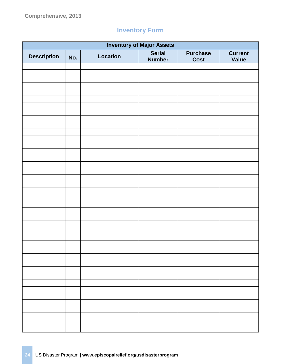# **Inventory Form**

| <b>Inventory of Major Assets</b> |     |                 |                                |                                |                                |
|----------------------------------|-----|-----------------|--------------------------------|--------------------------------|--------------------------------|
| <b>Description</b>               | No. | <b>Location</b> | <b>Serial</b><br><b>Number</b> | <b>Purchase</b><br><b>Cost</b> | <b>Current</b><br><b>Value</b> |
|                                  |     |                 |                                |                                |                                |
|                                  |     |                 |                                |                                |                                |
|                                  |     |                 |                                |                                |                                |
|                                  |     |                 |                                |                                |                                |
|                                  |     |                 |                                |                                |                                |
|                                  |     |                 |                                |                                |                                |
|                                  |     |                 |                                |                                |                                |
|                                  |     |                 |                                |                                |                                |
|                                  |     |                 |                                |                                |                                |
|                                  |     |                 |                                |                                |                                |
|                                  |     |                 |                                |                                |                                |
|                                  |     |                 |                                |                                |                                |
|                                  |     |                 |                                |                                |                                |
|                                  |     |                 |                                |                                |                                |
|                                  |     |                 |                                |                                |                                |
|                                  |     |                 |                                |                                |                                |
|                                  |     |                 |                                |                                |                                |
|                                  |     |                 |                                |                                |                                |
|                                  |     |                 |                                |                                |                                |
|                                  |     |                 |                                |                                |                                |
|                                  |     |                 |                                |                                |                                |
|                                  |     |                 |                                |                                |                                |
|                                  |     |                 |                                |                                |                                |
|                                  |     |                 |                                |                                |                                |
|                                  |     |                 |                                |                                |                                |
|                                  |     |                 |                                |                                |                                |
|                                  |     |                 |                                |                                |                                |
|                                  |     |                 |                                |                                |                                |
|                                  |     |                 |                                |                                |                                |
|                                  |     |                 |                                |                                |                                |
|                                  |     |                 |                                |                                |                                |
|                                  |     |                 |                                |                                |                                |
|                                  |     |                 |                                |                                |                                |
|                                  |     |                 |                                |                                |                                |
|                                  |     |                 |                                |                                |                                |
|                                  |     |                 |                                |                                |                                |
|                                  |     |                 |                                |                                |                                |
|                                  |     |                 |                                |                                |                                |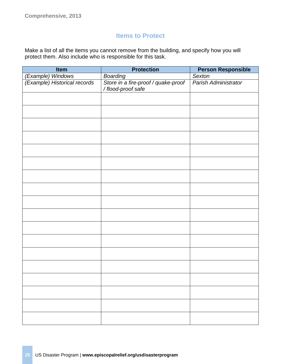### **Items to Protect**

Make a list of all the items you cannot remove from the building, and specify how you will protect them. Also include who is responsible for this task.

| <b>Item</b>                  | <b>Protection</b>                                        | <b>Person Responsible</b> |  |
|------------------------------|----------------------------------------------------------|---------------------------|--|
| (Example) Windows            | Boarding                                                 | Sexton                    |  |
| (Example) Historical records | Store in a fire-proof / quake-proof<br>/flood-proof safe | Parish Administrator      |  |
|                              |                                                          |                           |  |
|                              |                                                          |                           |  |
|                              |                                                          |                           |  |
|                              |                                                          |                           |  |
|                              |                                                          |                           |  |
|                              |                                                          |                           |  |
|                              |                                                          |                           |  |
|                              |                                                          |                           |  |
|                              |                                                          |                           |  |
|                              |                                                          |                           |  |
|                              |                                                          |                           |  |
|                              |                                                          |                           |  |
|                              |                                                          |                           |  |
|                              |                                                          |                           |  |
|                              |                                                          |                           |  |
|                              |                                                          |                           |  |
|                              |                                                          |                           |  |
|                              |                                                          |                           |  |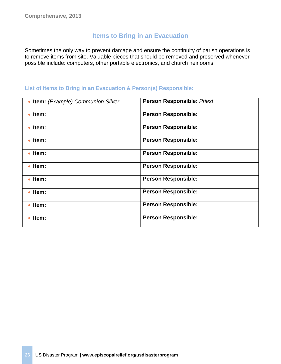### **Items to Bring in an Evacuation**

Sometimes the only way to prevent damage and ensure the continuity of parish operations is to remove items from site. Valuable pieces that should be removed and preserved whenever possible include: computers, other portable electronics, and church heirlooms.

#### **List of Items to Bring in an Evacuation & Person(s) Responsible:**

| Item: (Example) Communion Silver | <b>Person Responsible: Priest</b> |
|----------------------------------|-----------------------------------|
| Item:<br>$\bullet$               | <b>Person Responsible:</b>        |
| Item:                            | <b>Person Responsible:</b>        |
| Item:                            | <b>Person Responsible:</b>        |
| Item:<br>$\bullet$               | <b>Person Responsible:</b>        |
| Item:<br>$\bullet$               | <b>Person Responsible:</b>        |
| Item:                            | <b>Person Responsible:</b>        |
| Item:                            | <b>Person Responsible:</b>        |
| Item:                            | <b>Person Responsible:</b>        |
| Item:                            | <b>Person Responsible:</b>        |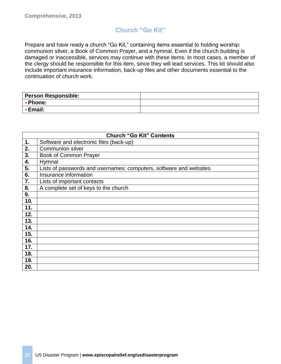# **Church "Go Kit"**

Prepare and have ready a church "Go Kit," containing items essential to holding worship: communion silver, a Book of Common Prayer, and a hymnal. Even if the church building is damaged or inaccessible, services may continue with these items. In most cases, a member of the clergy should be responsible for this item, since they will lead services. This kit should also include important insurance information, back-up files and other documents essential to the continuation of church work.

| <b>Person Responsible:</b> |  |
|----------------------------|--|
| • Phone:                   |  |
| • Email:                   |  |

|     | <b>Church "Go Kit" Contents</b>                                    |
|-----|--------------------------------------------------------------------|
| 1.  | Software and electronic files (back-up)                            |
| 2.  | <b>Communion silver</b>                                            |
| 3.  | Book of Common Prayer                                              |
| 4.  | Hymnal                                                             |
| 5.  | Lists of passwords and usernames: computers, software and websites |
| 6.  | Insurance information                                              |
| 7.  | Lists of important contacts                                        |
| 8.  | A complete set of keys to the church                               |
| 9.  |                                                                    |
| 10. |                                                                    |
| 11. |                                                                    |
| 12. |                                                                    |
| 13. |                                                                    |
| 14. |                                                                    |
| 15. |                                                                    |
| 16. |                                                                    |
| 17. |                                                                    |
| 18. |                                                                    |
| 19. |                                                                    |
| 20. |                                                                    |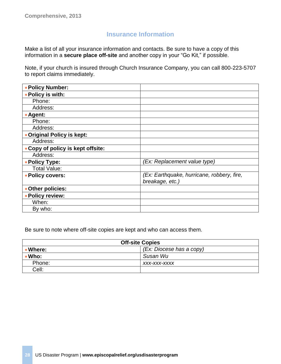# **Insurance Information**

Make a list of all your insurance information and contacts. Be sure to have a copy of this information in a **secure place off-site** and another copy in your "Go Kit," if possible.

Note, if your church is insured through Church Insurance Company, you can call 800-223-5707 to report claims immediately.

| • Policy Number:                  |                                            |
|-----------------------------------|--------------------------------------------|
| • Policy is with:                 |                                            |
| Phone:                            |                                            |
| Address:                          |                                            |
| • Agent:                          |                                            |
| Phone:                            |                                            |
| Address:                          |                                            |
| • Original Policy is kept:        |                                            |
| Address:                          |                                            |
| • Copy of policy is kept offsite: |                                            |
| Address:                          |                                            |
| • Policy Type:                    | (Ex: Replacement value type)               |
| <b>Total Value:</b>               |                                            |
| • Policy covers:                  | (Ex: Earthquake, hurricane, robbery, fire, |
|                                   | breakage, etc.)                            |
| • Other policies:                 |                                            |
| • Policy review:                  |                                            |
| When:                             |                                            |
| By who:                           |                                            |

Be sure to note where off-site copies are kept and who can access them.

| <b>Off-site Copies</b> |                          |
|------------------------|--------------------------|
| Where:                 | (Ex: Diocese has a copy) |
| Who:                   | Susan Wu                 |
| Phone:                 | XXX-XXX-XXXX             |
| Cell:                  |                          |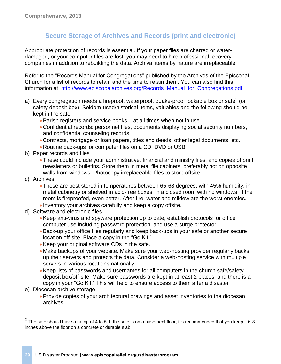## **Secure Storage of Archives and Records (print and electronic)**

Appropriate protection of records is essential. If your paper files are charred or waterdamaged, or your computer files are lost, you may need to hire professional recovery companies in addition to rebuilding the data. Archival items by nature are irreplaceable.

Refer to the "Records Manual for Congregations" published by the Archives of the Episcopal Church for a list of records to retain and the time to retain them. You can also find this information at: [http://www.episcopalarchives.org/Records\\_Manual\\_for\\_Congregations.pdf](http://www.episcopalarchives.org/Records_Manual_for_Congregations.pdf)

- a) Every congregation needs a fireproof, waterproof, quake-proof lockable box or safe<sup>2</sup> (or safety deposit box). Seldom-used/historical items, valuables and the following should be kept in the safe:
	- Parish registers and service books at all times when not in use
	- Confidential records: personnel files, documents displaying social security numbers, and confidential counseling records.
	- Contracts, mortgage or loan papers, titles and deeds, other legal documents, etc.
	- Routine back-ups for computer files on a CD, DVD or USB
- b) Paper records and files
	- These could include your administrative, financial and ministry files, and copies of print newsletters or bulletins. Store them in metal file cabinets, preferably not on opposite walls from windows. Photocopy irreplaceable files to store offsite.
- c) Archives
	- These are best stored in temperatures between 65-68 degrees, with 45% humidity, in metal cabinetry or shelved in acid-free boxes, in a closed room with no windows. If the room is fireproofed, even better. After fire, water and mildew are the worst enemies.
	- Inventory your archives carefully and keep a copy offsite.
- d) Software and electronic files
	- Keep anti-virus and spyware protection up to date, establish protocols for office computer use including password protection, and use a surge protector
	- Back-up your office files regularly and keep back-ups in your safe or another secure location off-site. Place a copy in the "Go Kit."
	- Keep your original software CDs in the safe.
	- Make backups of your website. Make sure your web-hosting provider regularly backs up their servers and protects the data. Consider a web-hosting service with multiple servers in various locations nationally.
	- Keep lists of passwords and usernames for all computers in the church safe/safety deposit box/off-site. Make sure passwords are kept in at least 2 places, and there is a copy in your "Go Kit." This will help to ensure access to them after a disaster
- e) Diocesan archive storage

 $\overline{a}$ 

Provide copies of your architectural drawings and asset inventories to the diocesan archives.

<sup>&</sup>lt;sup>2</sup> The safe should have a rating of 4 to 5. If the safe is on a basement floor, it's recommended that you keep it 6-8 inches above the floor on a concrete or durable slab.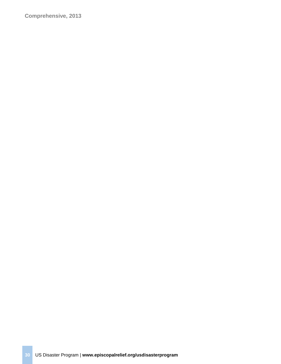**Comprehensive, 2013**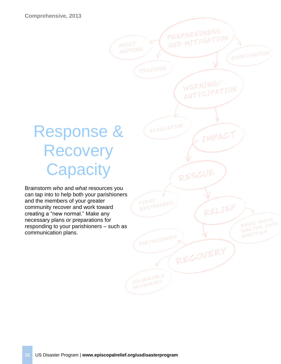# Response & **Recovery Capacity**

PREPAREDNESS PREPAREUNISTION

WARNING/

RESCUE

RECOVERY

WARNING

IMPACT

RELIEF

Brainstorm *who* and *what* resources you can tap into to help both your parishioners and the members of your greater community recover and work toward creating a "new normal." Make any necessary plans or preparations for responding to your parishioners – such as communication plans.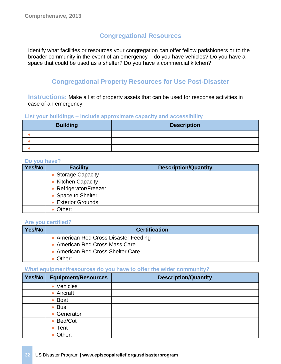### **Congregational Resources**

Identify what facilities or resources your congregation can offer fellow parishioners or to the broader community in the event of an emergency – do you have vehicles? Do you have a space that could be used as a shelter? Do you have a commercial kitchen?

### **Congregational Property Resources for Use Post-Disaster**

**Instructions:** Make a list of property assets that can be used for response activities in case of an emergency.

#### **List your buildings – include approximate capacity and accessibility**

| <b>Building</b> | <b>Description</b> |
|-----------------|--------------------|
|                 |                    |
|                 |                    |
|                 |                    |

#### **Do you have?**

| Yes/No | <b>Facility</b>        | <b>Description/Quantity</b> |
|--------|------------------------|-----------------------------|
|        | • Storage Capacity     |                             |
|        | • Kitchen Capacity     |                             |
|        | • Refrigerator/Freezer |                             |
|        | • Space to Shelter     |                             |
|        | • Exterior Grounds     |                             |
|        | Other:                 |                             |

#### **Are you certified?**

| Yes/No | <b>Certification</b>                  |  |
|--------|---------------------------------------|--|
|        | • American Red Cross Disaster Feeding |  |
|        | • American Red Cross Mass Care        |  |
|        | • American Red Cross Shelter Care     |  |
|        | • Other:                              |  |

#### **What equipment/resources do you have to offer the wider community?**

| Yes/No | <b>Equipment/Resources</b> | <b>Description/Quantity</b> |
|--------|----------------------------|-----------------------------|
|        | Vehicles<br>$\bullet$      |                             |
|        | • Aircraft                 |                             |
|        | • Boat                     |                             |
|        | $\bullet$ Bus              |                             |
|        | Generator<br>$\bullet$     |                             |
|        | Bed/Cot<br>$\bullet$       |                             |
|        | Tent<br>$\bullet$          |                             |
|        | Other:                     |                             |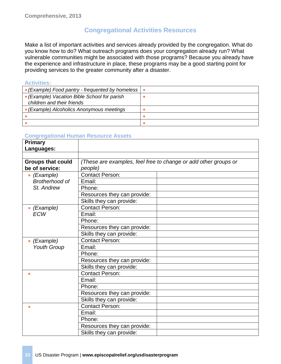## **Congregational Activities Resources**

Make a list of important activities and services already provided by the congregation. What do you know how to do? What outreach programs does your congregation already run? What vulnerable communities might be associated with those programs? Because you already have the experience and infrastructure in place, these programs may be a good starting point for providing services to the greater community after a disaster.

#### **Activities:**

| • (Example) Food pantry - frequented by homeless |  |
|--------------------------------------------------|--|
| • (Example) Vacation Bible School for parish     |  |
| children and their friends                       |  |
| <b>(Example) Alcoholics Anonymous meetings</b>   |  |
|                                                  |  |
|                                                  |  |

#### **Congregational Human Resource Assets**

| <b>Primary</b>           |                                                                 |  |
|--------------------------|-----------------------------------------------------------------|--|
| Languages:               |                                                                 |  |
|                          |                                                                 |  |
| <b>Groups that could</b> | (These are examples, feel free to change or add other groups or |  |
| be of service:           | people)                                                         |  |
| (Example)<br>$\bullet$   | <b>Contact Person:</b>                                          |  |
| <b>Brotherhood of</b>    | Email:                                                          |  |
| St. Andrew               | Phone:                                                          |  |
|                          | Resources they can provide:                                     |  |
|                          | Skills they can provide:                                        |  |
| (Example)                | <b>Contact Person:</b>                                          |  |
| <b>ECW</b>               | Email:                                                          |  |
|                          | Phone:                                                          |  |
|                          | Resources they can provide:                                     |  |
|                          | Skills they can provide:                                        |  |
| (Example)                | <b>Contact Person:</b>                                          |  |
| <b>Youth Group</b>       | Email:                                                          |  |
|                          | Phone:                                                          |  |
|                          | Resources they can provide:                                     |  |
|                          | Skills they can provide:                                        |  |
|                          | <b>Contact Person:</b>                                          |  |
|                          | Email:                                                          |  |
|                          | Phone:                                                          |  |
|                          | Resources they can provide:                                     |  |
|                          | Skills they can provide:                                        |  |
| $\bullet$                | <b>Contact Person:</b>                                          |  |
|                          | Email:                                                          |  |
|                          | Phone:                                                          |  |
|                          | Resources they can provide:                                     |  |
|                          | Skills they can provide:                                        |  |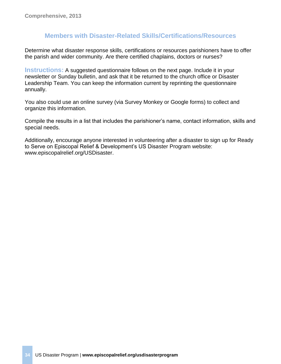#### **Members with Disaster-Related Skills/Certifications/Resources**

Determine what disaster response skills, certifications or resources parishioners have to offer the parish and wider community. Are there certified chaplains, doctors or nurses?

**Instructions:** A suggested questionnaire follows on the next page. Include it in your newsletter or Sunday bulletin, and ask that it be returned to the church office or Disaster Leadership Team. You can keep the information current by reprinting the questionnaire annually.

You also could use an online survey (via Survey Monkey or Google forms) to collect and organize this information.

Compile the results in a list that includes the parishioner's name, contact information, skills and special needs.

Additionally, encourage anyone interested in volunteering after a disaster to sign up for Ready to Serve on Episcopal Relief & Development's US Disaster Program website: www.episcopalrelief.org/USDisaster.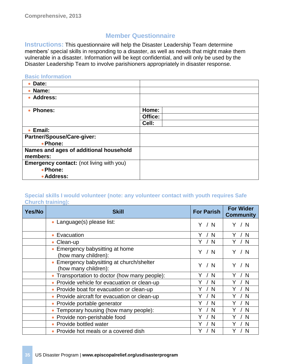### **Member Questionnaire**

**Instructions:** This questionnaire will help the Disaster Leadership Team determine members' special skills in responding to a disaster, as well as needs that might make them vulnerable in a disaster. Information will be kept confidential, and will only be used by the Disaster Leadership Team to involve parishioners appropriately in disaster response.

#### **Basic Information**

| Date:                                           |         |
|-------------------------------------------------|---------|
| • Name:                                         |         |
| • Address:                                      |         |
|                                                 |         |
| • Phones:                                       | Home:   |
|                                                 | Office: |
|                                                 | Cell:   |
| • Email:                                        |         |
| Partner/Spouse/Care-giver:                      |         |
| • Phone:                                        |         |
| Names and ages of additional household          |         |
| members:                                        |         |
| <b>Emergency contact:</b> (not living with you) |         |
| • Phone:                                        |         |
| • Address:                                      |         |

#### **Special skills I would volunteer (note: any volunteer contact with youth requires Safe Church training):**

| Yes/No | <b>Skill</b>                                                    | <b>For Parish</b> | <b>For Wider</b><br><b>Community</b> |
|--------|-----------------------------------------------------------------|-------------------|--------------------------------------|
|        | Language(s) please list:<br>$\bullet$                           | Y / N             | Y / N                                |
|        | Evacuation<br>$\bullet$                                         | / N               | / N                                  |
|        | Clean-up<br>$\bullet$                                           | / N               | Y / N                                |
|        | Emergency babysitting at home<br>(how many children):           | Y / N             | Y / N                                |
|        | Emergency babysitting at church/shelter<br>(how many children): | Y / N             | Y / N                                |
|        | Transportation to doctor (how many people):<br>$\bullet$        | / N               | Y<br>/ N                             |
|        | Provide vehicle for evacuation or clean-up<br>$\bullet$         | / N               | Y / N                                |
|        | Provide boat for evacuation or clean-up<br>$\bullet$            | <sub>N</sub>      | Y / N                                |
|        | Provide aircraft for evacuation or clean-up                     | / N               | / N<br>Y.                            |
|        | Provide portable generator<br>$\bullet$                         | / N               | Y / N                                |
|        | Temporary housing (how many people):                            | N                 | / N                                  |
|        | Provide non-perishable food<br>$\bullet$                        | N                 | / N                                  |
|        | Provide bottled water                                           | N                 | / N                                  |
|        | Provide hot meals or a covered dish                             | N                 | N                                    |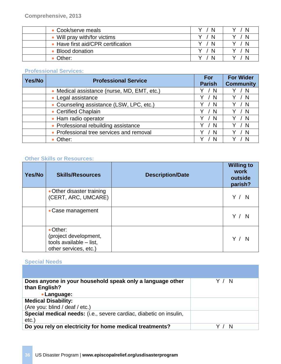| • Cook/serve meals                 | Y / N |       |
|------------------------------------|-------|-------|
| • Will pray with/for victims       | Y / N | Y / N |
| • Have first aid/CPR certification | / N   | Y / N |
| • Blood donation                   | Y / N |       |
| Other:                             |       |       |

### **Professional Services:**

| Yes/No | <b>Professional Service</b>                 | For<br><b>Parish</b> | <b>For Wider</b><br><b>Community</b> |
|--------|---------------------------------------------|----------------------|--------------------------------------|
|        | • Medical assistance (nurse, MD, EMT, etc.) | / N                  |                                      |
|        | • Legal assistance                          | Y<br>/ N             |                                      |
|        | • Counseling assistance (LSW, LPC, etc.)    | Y<br>/ N             |                                      |
|        | • Certified Chaplain                        | - N                  |                                      |
|        | • Ham radio operator                        | - N                  |                                      |
|        | • Professional rebuilding assistance        | Y<br>- N             |                                      |
|        | • Professional tree services and removal    | - N                  |                                      |
|        | Other:                                      |                      |                                      |

#### **Other Skills or Resources:**

| Yes/No | <b>Skills/Resources</b>                                                                       | <b>Description/Date</b> | <b>Willing to</b><br>work<br>outside<br>parish? |
|--------|-----------------------------------------------------------------------------------------------|-------------------------|-------------------------------------------------|
|        | • Other disaster training<br>(CERT, ARC, UMCARE)                                              |                         | Y /<br>- N                                      |
|        | • Case management                                                                             |                         | Y / N                                           |
|        | $\bullet$ Other:<br>(project development,<br>tools available - list,<br>other services, etc.) |                         | Y /<br>- N                                      |

## **Special Needs**

| Does anyone in your household speak only a language other<br>than English? | - N |
|----------------------------------------------------------------------------|-----|
| • Language:                                                                |     |
| <b>Medical Disability:</b>                                                 |     |
| (Are you: blind / deaf / etc.)                                             |     |
| Special medical needs: (i.e., severe cardiac, diabetic on insulin,         |     |
| $etc.$ )                                                                   |     |
| Do you rely on electricity for home medical treatments?                    | N   |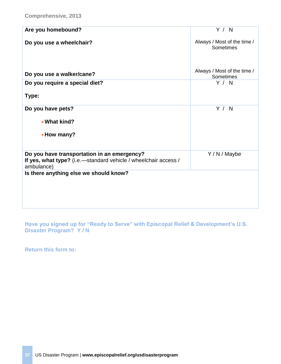| Are you homebound?                                                                                                           | Y / N                                    |
|------------------------------------------------------------------------------------------------------------------------------|------------------------------------------|
| Do you use a wheelchair?                                                                                                     | Always / Most of the time /<br>Sometimes |
| Do you use a walker/cane?                                                                                                    | Always / Most of the time /<br>Sometimes |
| Do you require a special diet?                                                                                               | Y / N                                    |
| Type:                                                                                                                        |                                          |
| Do you have pets?                                                                                                            | Y / N                                    |
| • What kind?                                                                                                                 |                                          |
| • How many?                                                                                                                  |                                          |
| Do you have transportation in an emergency?<br>If yes, what type? (i.e.-standard vehicle / wheelchair access /<br>ambulance) | Y/N/Maybe                                |
| Is there anything else we should know?                                                                                       |                                          |

**Have you signed up for "Ready to Serve" with Episcopal Relief & Development's U.S. Disaster Program? Y / N**

**Return this form to:**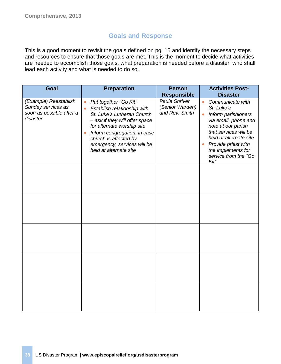### **Goals and Response**

This is a good moment to revisit the goals defined on pg. 15 and identify the necessary steps and resources to ensure that those goals are met. This is the moment to decide what activities are needed to accomplish those goals, what preparation is needed before a disaster, who shall lead each activity and what is needed to do so.

| Goal                                                                                | <b>Preparation</b>                                                                                                                                                                                                                                                                | <b>Person</b>                                      | <b>Activities Post-</b>                                                                                                                                                                                                                                       |
|-------------------------------------------------------------------------------------|-----------------------------------------------------------------------------------------------------------------------------------------------------------------------------------------------------------------------------------------------------------------------------------|----------------------------------------------------|---------------------------------------------------------------------------------------------------------------------------------------------------------------------------------------------------------------------------------------------------------------|
|                                                                                     |                                                                                                                                                                                                                                                                                   | <b>Responsible</b>                                 | <b>Disaster</b>                                                                                                                                                                                                                                               |
| (Example) Reestablish<br>Sunday services as<br>soon as possible after a<br>disaster | Put together "Go Kit"<br>$\bullet$<br>Establish relationship with<br>St. Luke's Lutheran Church<br>- ask if they will offer space<br>for alternate worship site<br>Inform congregation: in case<br>church is affected by<br>emergency, services will be<br>held at alternate site | Paula Shriver<br>(Senior Warden)<br>and Rev. Smith | Communicate with<br>$\bullet$<br>St. Luke's<br>Inform parishioners<br>$\bullet$<br>via email, phone and<br>note at our parish<br>that services will be<br>held at alternate site<br>Provide priest with<br>the implements for<br>service from the "Go<br>Kit" |
|                                                                                     |                                                                                                                                                                                                                                                                                   |                                                    |                                                                                                                                                                                                                                                               |
|                                                                                     |                                                                                                                                                                                                                                                                                   |                                                    |                                                                                                                                                                                                                                                               |
|                                                                                     |                                                                                                                                                                                                                                                                                   |                                                    |                                                                                                                                                                                                                                                               |
|                                                                                     |                                                                                                                                                                                                                                                                                   |                                                    |                                                                                                                                                                                                                                                               |
|                                                                                     |                                                                                                                                                                                                                                                                                   |                                                    |                                                                                                                                                                                                                                                               |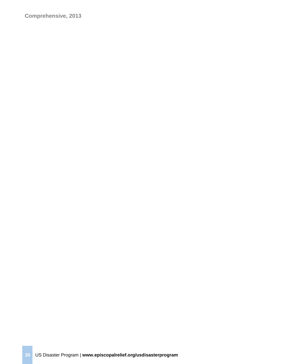**Comprehensive, 2013**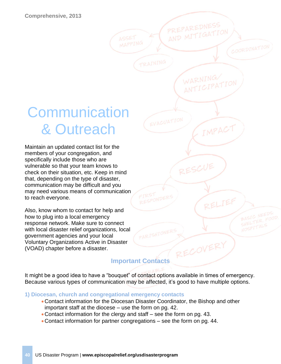# **Communication** & Outreach

Maintain an updated contact list for the members of your congregation, and specifically include those who are vulnerable so that your team knows to check on their situation, etc. Keep in mind that, depending on the type of disaster, communication may be difficult and you may need various means of communication to reach everyone.

Also, know whom to contact for help and how to plug into a local emergency response network. Make sure to connect with local disaster relief organizations, local government agencies and your local Voluntary Organizations Active in Disaster (VOAD) chapter before a disaster.

**Important Contacts**

PREPAREDNESS **PREPAREUMATION** 

WARNING/

RESCUE

RECOVERY

WARNING

IMPACT

RELIEF

It might be a good idea to have a "bouquet" of contact options available in times of emergency. Because various types of communication may be affected, it's good to have multiple options.

- **1) Diocesan, church and congregational emergency contacts**
	- Contact information for the Diocesan Disaster Coordinator, the Bishop and other important staff at the diocese – use the form on pg. 42.
	- Contact information for the clergy and staff see the form on pg. 43.
	- Contact information for partner congregations see the form on pg. 44.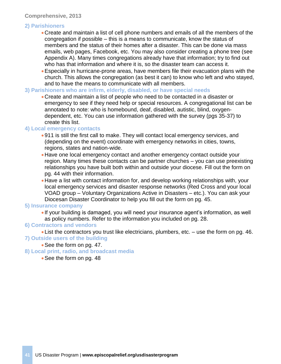#### **2) Parishioners**

- Create and maintain a list of cell phone numbers and emails of all the members of the congregation if possible – this is a means to communicate, know the status of members and the status of their homes after a disaster. This can be done via mass emails, web pages, Facebook, etc. You may also consider creating a phone tree (see Appendix A). Many times congregations already have that information; try to find out who has that information and where it is, so the disaster team can access it.
- Especially in hurricane-prone areas, have members file their evacuation plans with the church. This allows the congregation (as best it can) to know who left and who stayed, and to have the means to communicate with all members.
- **3) Parishioners who are infirm, elderly, disabled, or have special needs**
	- Create and maintain a list of people who need to be contacted in a disaster or emergency to see if they need help or special resources. A congregational list can be annotated to note: who is homebound, deaf, disabled, autistic, blind, oxygendependent, etc. You can use information gathered with the survey (pgs 35-37) to create this list.

#### **4) Local emergency contacts**

- 911 is still the first call to make. They will contact local emergency services, and (depending on the event) coordinate with emergency networks in cities, towns, regions, states and nation-wide.
- Have one local emergency contact and another emergency contact outside your region. Many times these contacts can be partner churches – you can use preexisting relationships you have built both within and outside your diocese. Fill out the form on pg. 44 with their information.
- Have a list with contact information for, and develop working relationships with, your local emergency services and disaster response networks (Red Cross and your local VOAD group – Voluntary Organizations Active in Disasters – etc.). You can ask your Diocesan Disaster Coordinator to help you fill out the form on pg. 45.

#### **5) Insurance company**

 If your building is damaged, you will need your insurance agent's information, as well as policy numbers. Refer to the information you included on pg. 28.

#### **6) Contractors and vendors**

- List the contractors you trust like electricians, plumbers, etc. use the form on pg. 46.
- **7) Outside users of the building**
	- See the form on pg. 47.

#### **8) Local print, radio, and broadcast media**

• See the form on pg. 48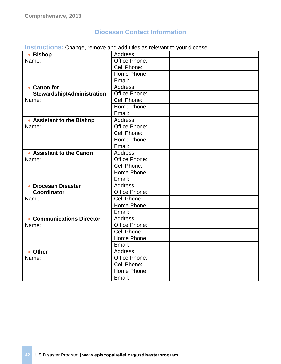# **Diocesan Contact Information**

**Instructions:** Change, remove and add titles as relevant to your diocese.

| • Bishop                          | Address:      |  |
|-----------------------------------|---------------|--|
| Name:                             | Office Phone: |  |
|                                   | Cell Phone:   |  |
|                                   | Home Phone:   |  |
|                                   | Email:        |  |
| • Canon for                       | Address:      |  |
| <b>Stewardship/Administration</b> | Office Phone: |  |
| Name:                             | Cell Phone:   |  |
|                                   | Home Phone:   |  |
|                                   | Email:        |  |
| • Assistant to the Bishop         | Address:      |  |
| Name:                             | Office Phone: |  |
|                                   | Cell Phone:   |  |
|                                   | Home Phone:   |  |
|                                   | Email:        |  |
| • Assistant to the Canon          | Address:      |  |
| Name:                             | Office Phone: |  |
|                                   | Cell Phone:   |  |
|                                   | Home Phone:   |  |
|                                   | Email:        |  |
| • Diocesan Disaster               | Address:      |  |
| Coordinator                       | Office Phone: |  |
| Name:                             | Cell Phone:   |  |
|                                   | Home Phone:   |  |
|                                   | $E$ mail:     |  |
| • Communications Director         | Address:      |  |
| Name:                             | Office Phone: |  |
|                                   | Cell Phone:   |  |
|                                   | Home Phone:   |  |
|                                   | Email:        |  |
| • Other                           | Address:      |  |
| Name:                             | Office Phone: |  |
|                                   | Cell Phone:   |  |
|                                   | Home Phone:   |  |
|                                   | Email:        |  |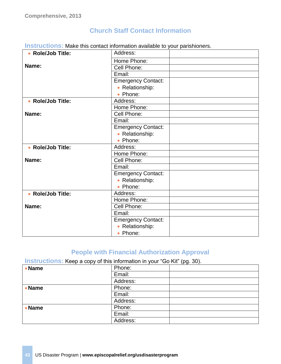# **Church Staff Contact Information**

#### **Instructions:** Make this contact information available to your parishioners.

| <b>Role/Job Title:</b><br>$\bullet$ | Address:                  |  |
|-------------------------------------|---------------------------|--|
|                                     | Home Phone:               |  |
| Name:                               | Cell Phone:               |  |
|                                     | Email:                    |  |
|                                     | <b>Emergency Contact:</b> |  |
|                                     | • Relationship:           |  |
|                                     | • Phone:                  |  |
| • Role/Job Title:                   | Address:                  |  |
|                                     | Home Phone:               |  |
| Name:                               | Cell Phone:               |  |
|                                     | Email:                    |  |
|                                     | <b>Emergency Contact:</b> |  |
|                                     | • Relationship:           |  |
|                                     | • Phone:                  |  |
| • Role/Job Title:                   | Address:                  |  |
|                                     | Home Phone:               |  |
| Name:                               | Cell Phone:               |  |
|                                     | Email:                    |  |
|                                     | <b>Emergency Contact:</b> |  |
|                                     | • Relationship:           |  |
|                                     | • Phone:                  |  |
| • Role/Job Title:                   | Address:                  |  |
|                                     | Home Phone:               |  |
| Name:                               | Cell Phone:               |  |
|                                     | Email:                    |  |
|                                     | <b>Emergency Contact:</b> |  |
|                                     | • Relationship:           |  |
|                                     | • Phone:                  |  |

# **People with Financial Authorization Approval**

### **Instructions:** Keep a copy of this information in your "Go Kit" (pg. 30).

| . .    | -<br>$\sim$<br>$\overline{\phantom{a}}$ |
|--------|-----------------------------------------|
| • Name | Phone:                                  |
|        | Email:                                  |
|        | Address:                                |
| • Name | Phone:                                  |
|        | Email:                                  |
|        | Address:                                |
| • Name | Phone:                                  |
|        | Email:                                  |
|        | Address:                                |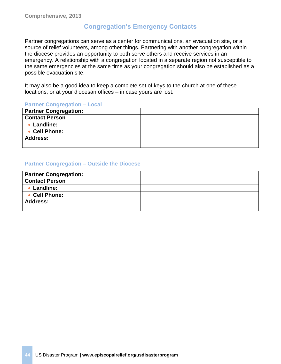# **Congregation's Emergency Contacts**

Partner congregations can serve as a center for communications, an evacuation site, or a source of relief volunteers, among other things. Partnering with another congregation within the diocese provides an opportunity to both serve others and receive services in an emergency. A relationship with a congregation located in a separate region not susceptible to the same emergencies at the same time as your congregation should also be established as a possible evacuation site.

It may also be a good idea to keep a complete set of keys to the church at one of these locations, or at your diocesan offices – in case yours are lost.

#### **Partner Congregation – Local**

| <b>Partner Congregation:</b> |  |
|------------------------------|--|
| <b>Contact Person</b>        |  |
| • Landline:                  |  |
| • Cell Phone:                |  |
| <b>Address:</b>              |  |
|                              |  |

#### **Partner Congregation – Outside the Diocese**

| <b>Partner Congregation:</b> |  |
|------------------------------|--|
| <b>Contact Person</b>        |  |
| • Landline:                  |  |
| • Cell Phone:                |  |
| <b>Address:</b>              |  |
|                              |  |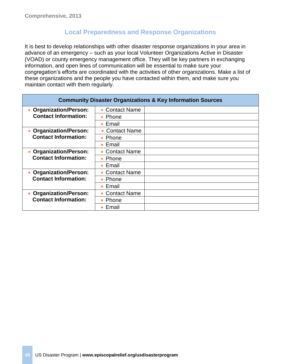# **Local Preparedness and Response Organizations**

It is best to develop relationships with other disaster response organizations in your area in advance of an emergency – such as your local Volunteer Organizations Active in Disaster (VOAD) or county emergency management office. They will be key partners in exchanging information, and open lines of communication will be essential to make sure your congregation's efforts are coordinated with the activities of other organizations. Make a list of these organizations and the people you have contacted within them, and make sure you maintain contact with them regularly.

| <b>Community Disaster Organizations &amp; Key Information Sources</b> |                                  |  |  |  |  |
|-----------------------------------------------------------------------|----------------------------------|--|--|--|--|
| • Organization/Person:                                                | <b>Contact Name</b><br>$\bullet$ |  |  |  |  |
| <b>Contact Information:</b>                                           | Phone<br>$\bullet$               |  |  |  |  |
|                                                                       | Email<br>۰                       |  |  |  |  |
| <b>Organization/Person:</b>                                           | <b>Contact Name</b>              |  |  |  |  |
| <b>Contact Information:</b>                                           | Phone                            |  |  |  |  |
|                                                                       | Email<br>$\bullet$               |  |  |  |  |
| <b>Organization/Person:</b>                                           | <b>Contact Name</b>              |  |  |  |  |
| <b>Contact Information:</b>                                           | Phone                            |  |  |  |  |
|                                                                       | Email                            |  |  |  |  |
| • Organization/Person:                                                | <b>Contact Name</b>              |  |  |  |  |
| <b>Contact Information:</b>                                           | Phone<br>$\bullet$               |  |  |  |  |
|                                                                       | Email<br>$\bullet$               |  |  |  |  |
| <b>Organization/Person:</b>                                           | <b>Contact Name</b>              |  |  |  |  |
| <b>Contact Information:</b>                                           | Phone                            |  |  |  |  |
|                                                                       | Email                            |  |  |  |  |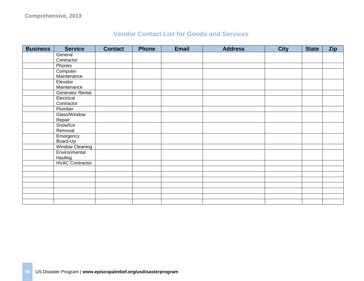# **Vendor Contact List for Goods and Services**

| <b>Business</b> | <b>Service</b>          | <b>Contact</b> | <b>Phone</b> | <b>Email</b> | <b>Address</b> | <b>City</b> | <b>State</b> | Zip |
|-----------------|-------------------------|----------------|--------------|--------------|----------------|-------------|--------------|-----|
|                 | General                 |                |              |              |                |             |              |     |
|                 | Contractor              |                |              |              |                |             |              |     |
|                 | Phones                  |                |              |              |                |             |              |     |
|                 | Computer                |                |              |              |                |             |              |     |
|                 | Maintenance             |                |              |              |                |             |              |     |
|                 | Elevator                |                |              |              |                |             |              |     |
|                 | Maintenance             |                |              |              |                |             |              |     |
|                 | <b>Generator Rental</b> |                |              |              |                |             |              |     |
|                 | Electrical              |                |              |              |                |             |              |     |
|                 | Contractor              |                |              |              |                |             |              |     |
|                 | Plumber                 |                |              |              |                |             |              |     |
|                 | Glass/Window            |                |              |              |                |             |              |     |
|                 | Repair                  |                |              |              |                |             |              |     |
|                 | Snow/Ice                |                |              |              |                |             |              |     |
|                 | Removal                 |                |              |              |                |             |              |     |
|                 | Emergency               |                |              |              |                |             |              |     |
|                 | Board-Up                |                |              |              |                |             |              |     |
|                 | <b>Window Cleaning</b>  |                |              |              |                |             |              |     |
|                 | Environmental           |                |              |              |                |             |              |     |
|                 | Hauling                 |                |              |              |                |             |              |     |
|                 | <b>HVAC Contractor</b>  |                |              |              |                |             |              |     |
|                 |                         |                |              |              |                |             |              |     |
|                 |                         |                |              |              |                |             |              |     |
|                 |                         |                |              |              |                |             |              |     |
|                 |                         |                |              |              |                |             |              |     |
|                 |                         |                |              |              |                |             |              |     |
|                 |                         |                |              |              |                |             |              |     |
|                 |                         |                |              |              |                |             |              |     |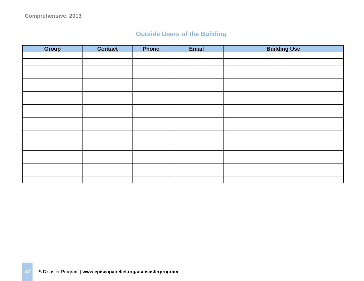# **Outside Users of the Building**

| Group | <b>Contact</b> | Phone | Email | <b>Building Use</b> |
|-------|----------------|-------|-------|---------------------|
|       |                |       |       |                     |
|       |                |       |       |                     |
|       |                |       |       |                     |
|       |                |       |       |                     |
|       |                |       |       |                     |
|       |                |       |       |                     |
|       |                |       |       |                     |
|       |                |       |       |                     |
|       |                |       |       |                     |
|       |                |       |       |                     |
|       |                |       |       |                     |
|       |                |       |       |                     |
|       |                |       |       |                     |
|       |                |       |       |                     |
|       |                |       |       |                     |
|       |                |       |       |                     |
|       |                |       |       |                     |
|       |                |       |       |                     |
|       |                |       |       |                     |
|       |                |       |       |                     |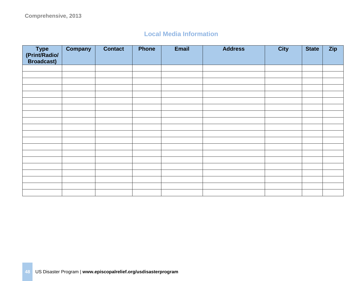# **Local Media Information**

| Type<br>(Print/Radio/<br>Broadcast) | <b>Company</b> | <b>Contact</b> | <b>Phone</b> | Email | <b>Address</b> | <b>City</b> | <b>State</b> | <b>Zip</b> |
|-------------------------------------|----------------|----------------|--------------|-------|----------------|-------------|--------------|------------|
|                                     |                |                |              |       |                |             |              |            |
|                                     |                |                |              |       |                |             |              |            |
|                                     |                |                |              |       |                |             |              |            |
|                                     |                |                |              |       |                |             |              |            |
|                                     |                |                |              |       |                |             |              |            |
|                                     |                |                |              |       |                |             |              |            |
|                                     |                |                |              |       |                |             |              |            |
|                                     |                |                |              |       |                |             |              |            |
|                                     |                |                |              |       |                |             |              |            |
|                                     |                |                |              |       |                |             |              |            |
|                                     |                |                |              |       |                |             |              |            |
|                                     |                |                |              |       |                |             |              |            |
|                                     |                |                |              |       |                |             |              |            |
|                                     |                |                |              |       |                |             |              |            |
|                                     |                |                |              |       |                |             |              |            |
|                                     |                |                |              |       |                |             |              |            |
|                                     |                |                |              |       |                |             |              |            |
|                                     |                |                |              |       |                |             |              |            |
|                                     |                |                |              |       |                |             |              |            |
|                                     |                |                |              |       |                |             |              |            |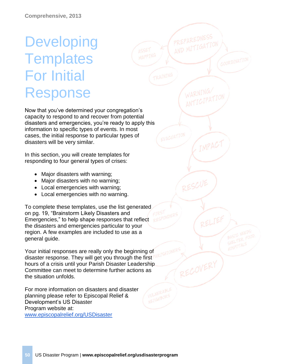# **Developing Templates** For Initial Response

Now that you've determined your congregation's capacity to respond to and recover from potential disasters and emergencies, you're ready to apply this information to specific types of events. In most cases, the initial response to particular types of disasters will be very similar.

WARNING/ WARNING/<br>ANTICIPATION

RESCUE

RECOVERY

IMPACT

RELIEF

In this section, you will create templates for responding to four general types of crises:

- Major disasters with warning;
- Major disasters with no warning;
- Local emergencies with warning;
- Local emergencies with no warning.

To complete these templates, use the list generated on pg. 19, "Brainstorm Likely Disasters and Emergencies," to help shape responses that reflect the disasters and emergencies particular to your region. A few examples are included to use as a general guide.

Your initial responses are really only the beginning of disaster response. They will get you through the first hours of a crisis until your Parish Disaster Leadership Committee can meet to determine further actions as the situation unfolds.

For more information on disasters and disaster planning please refer to Episcopal Relief & Development's US Disaster Program website at: [www.episcopalrelief.org/USDisaster](http://www.episcopalrelief.org/USDisaster)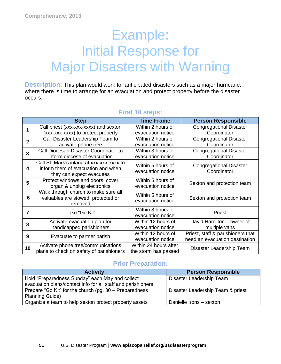# Example: Initial Response for Major Disasters with Warning

**Description:** This plan would work for anticipated disasters such as a major hurricane, where there is time to arrange for an evacuation and protect property before the disaster occurs.

|                | <b>Step</b>                                                                                                 | <b>Time Frame</b>                             | <b>Person Responsible</b>                                           |
|----------------|-------------------------------------------------------------------------------------------------------------|-----------------------------------------------|---------------------------------------------------------------------|
| 1              | Call priest (xxx-xxx-xxxx) and sexton<br>(xxx-xxx-xxxx) to protect property                                 | Within 2 hours of<br>evacuation notice        | <b>Congregational Disaster</b><br>Coordinator                       |
| $\overline{2}$ | Call Disaster Leadership Team to<br>activate phone tree                                                     | Within 2 hours of<br>evacuation notice        | <b>Congregational Disaster</b><br>Coordinator                       |
| 3              | Call Diocesan Disaster Coordinator to<br>inform diocese of evacuation                                       | Within 3 hours of<br>evacuation notice        | <b>Congregational Disaster</b><br>Coordinator                       |
| 4              | Call St. Mark's inland at xxx-xxx-xxxx to<br>inform them of evacuation and when<br>they can expect evacuees | Within 5 hours of<br>evacuation notice        | <b>Congregational Disaster</b><br>Coordinator                       |
| 5              | Protect windows and doors, cover<br>organ & unplug electronics                                              | Within 5 hours of<br>evacuation notice        | Sexton and protection team                                          |
| 6              | Walk through church to make sure all<br>valuables are stowed, protected or<br>removed                       | Within 5 hours of<br>evacuation notice        | Sexton and protection team                                          |
| 7              | Take "Go Kit"                                                                                               | Within 8 hours of<br>evacuation notice        | Priest                                                              |
| 8              | Activate evacuation plan for<br>handicapped parishioners                                                    | Within 12 hours of<br>evacuation notice       | David Hamilton - owner of<br>multiple vans                          |
| 9              | Evacuate to partner parish                                                                                  | Within 12 hours of<br>evacuation notice       | Priest, staff & parishioners that<br>need an evacuation destination |
| 10             | Activate phone tree/communications<br>plans to check on safety of parishioners                              | Within 24 hours after<br>the storm has passed | Disaster Leadership Team                                            |

#### **First 10 steps:**

### **Prior Preparation:**

| <b>Activity</b>                                                                                                 | <b>Person Responsible</b>         |
|-----------------------------------------------------------------------------------------------------------------|-----------------------------------|
| Hold "Preparedness Sunday" each May and collect<br>evacuation plans/contact info for all staff and parishioners | Disaster Leadership Team          |
| Prepare "Go Kit" for the church (pg. 30 – Preparedness<br><b>Planning Guide)</b>                                | Disaster Leadership Team & priest |
| Organize a team to help sexton protect property assets                                                          | Danielle Irons - sexton           |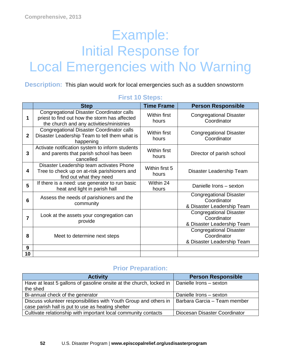# Example: Initial Response for Local Emergencies with No Warning

**Description:** This plan would work for local emergencies such as a sudden snowstorm

|                | <b>Step</b>                                                                                                                                   | <b>Time Frame</b>            | <b>Person Responsible</b>                                                   |
|----------------|-----------------------------------------------------------------------------------------------------------------------------------------------|------------------------------|-----------------------------------------------------------------------------|
| 1              | <b>Congregational Disaster Coordinator calls</b><br>priest to find out how the storm has affected<br>the church and any activities/ministries | Within first<br>hours        | <b>Congregational Disaster</b><br>Coordinator                               |
| $\mathbf{2}$   | <b>Congregational Disaster Coordinator calls</b><br>Disaster Leadership Team to tell them what is<br>happening                                | <b>Within first</b><br>hours | <b>Congregational Disaster</b><br>Coordinator                               |
| 3              | Activate notification system to inform students<br>and parents that parish school has been<br>cancelled                                       | <b>Within first</b><br>hours | Director of parish school                                                   |
| 4              | Disaster Leadership team activates Phone<br>Tree to check up on at-risk parishioners and<br>find out what they need                           | Within first 5<br>hours      | Disaster Leadership Team                                                    |
| 5              | If there is a need: use generator to run basic<br>heat and light in parish hall                                                               | Within 24<br>hours           | Danielle Irons - sexton                                                     |
| 6              | Assess the needs of parishioners and the<br>community                                                                                         |                              | <b>Congregational Disaster</b><br>Coordinator<br>& Disaster Leadership Team |
| $\overline{7}$ | Look at the assets your congregation can<br>provide                                                                                           |                              | <b>Congregational Disaster</b><br>Coordinator<br>& Disaster Leadership Team |
| 8              | Meet to determine next steps                                                                                                                  |                              | <b>Congregational Disaster</b><br>Coordinator<br>& Disaster Leadership Team |
| 9              |                                                                                                                                               |                              |                                                                             |
| 10             |                                                                                                                                               |                              |                                                                             |

### **First 10 Steps:**

# **Prior Preparation:**

| <b>Activity</b>                                                     | <b>Person Responsible</b>     |
|---------------------------------------------------------------------|-------------------------------|
| Have at least 5 gallons of gasoline onsite at the church, locked in | Danielle Irons - sexton       |
| the shed                                                            |                               |
| Bi-annual check of the generator                                    | Danielle Irons - sexton       |
| Discuss volunteer responsibilities with Youth Group and others in   | Barbara Garcia - Team member  |
| case parish hall is put to use as heating shelter                   |                               |
| Cultivate relationship with important local community contacts      | Diocesan Disaster Coordinator |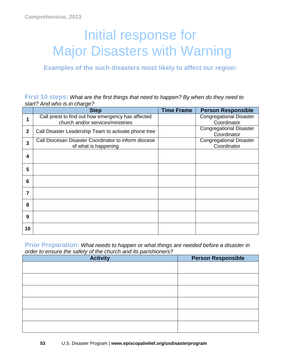# Initial response for Major Disasters with Warning

**Examples of the such disasters most likely to affect our region:** 

**First 10 steps:** *What are the first things that need to happen? By when do they need to start? And who is in charge?*

|              | <b>Step</b>                                                                             | <b>Time Frame</b> | <b>Person Responsible</b>                     |
|--------------|-----------------------------------------------------------------------------------------|-------------------|-----------------------------------------------|
| 1            | Call priest to find out how emergency has affected<br>church and/or services/ministries |                   | <b>Congregational Disaster</b><br>Coordinator |
| $\mathbf{2}$ | Call Disaster Leadership Team to activate phone tree                                    |                   | <b>Congregational Disaster</b><br>Coordinator |
| 3            | Call Diocesan Disaster Coordinator to inform diocese<br>of what is happening            |                   | <b>Congregational Disaster</b><br>Coordinator |
| 4            |                                                                                         |                   |                                               |
| 5            |                                                                                         |                   |                                               |
| 6            |                                                                                         |                   |                                               |
| 7            |                                                                                         |                   |                                               |
| 8            |                                                                                         |                   |                                               |
| 9            |                                                                                         |                   |                                               |
| 10           |                                                                                         |                   |                                               |

| <b>Activity</b> | <b>Person Responsible</b> |
|-----------------|---------------------------|
|                 |                           |
|                 |                           |
|                 |                           |
|                 |                           |
|                 |                           |
|                 |                           |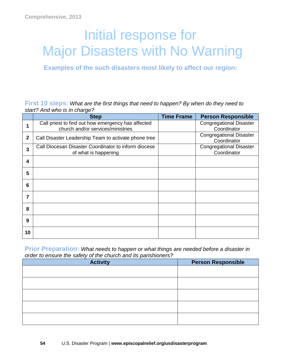# Initial response for Major Disasters with No Warning

**Examples of the such disasters most likely to affect our region:** 

**First 10 steps:** *What are the first things that need to happen? By when do they need to start? And who is in charge?*

|              | <b>Step</b>                                                                             | <b>Time Frame</b> | <b>Person Responsible</b>                     |
|--------------|-----------------------------------------------------------------------------------------|-------------------|-----------------------------------------------|
| 1            | Call priest to find out how emergency has affected<br>church and/or services/ministries |                   | <b>Congregational Disaster</b><br>Coordinator |
| $\mathbf{2}$ | Call Disaster Leadership Team to activate phone tree                                    |                   | <b>Congregational Disaster</b><br>Coordinator |
| 3            | Call Diocesan Disaster Coordinator to inform diocese<br>of what is happening            |                   | <b>Congregational Disaster</b><br>Coordinator |
| 4            |                                                                                         |                   |                                               |
| 5            |                                                                                         |                   |                                               |
| 6            |                                                                                         |                   |                                               |
| 7            |                                                                                         |                   |                                               |
| 8            |                                                                                         |                   |                                               |
| 9            |                                                                                         |                   |                                               |
| 10           |                                                                                         |                   |                                               |

| <b>Activity</b> | <b>Person Responsible</b> |
|-----------------|---------------------------|
|                 |                           |
|                 |                           |
|                 |                           |
|                 |                           |
|                 |                           |
|                 |                           |
|                 |                           |
|                 |                           |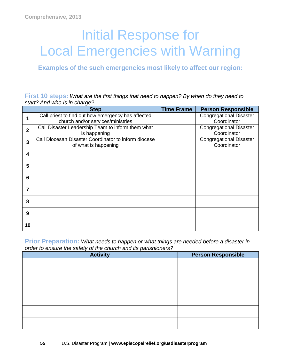# Initial Response for Local Emergencies with Warning

**Examples of the such emergencies most likely to affect our region:** 

#### **First 10 steps:** *What are the first things that need to happen? By when do they need to start? And who is in charge?*

|              | <b>Step</b>                                                                             | <b>Time Frame</b> | <b>Person Responsible</b>                     |  |  |
|--------------|-----------------------------------------------------------------------------------------|-------------------|-----------------------------------------------|--|--|
| 1            | Call priest to find out how emergency has affected<br>church and/or services/ministries |                   | <b>Congregational Disaster</b><br>Coordinator |  |  |
| $\mathbf{2}$ | Call Disaster Leadership Team to inform them what<br>is happening                       |                   | <b>Congregational Disaster</b><br>Coordinator |  |  |
| 3            | Call Diocesan Disaster Coordinator to inform diocese<br>of what is happening            |                   | <b>Congregational Disaster</b><br>Coordinator |  |  |
| 4            |                                                                                         |                   |                                               |  |  |
| 5            |                                                                                         |                   |                                               |  |  |
| 6            |                                                                                         |                   |                                               |  |  |
| 7            |                                                                                         |                   |                                               |  |  |
| 8            |                                                                                         |                   |                                               |  |  |
| 9            |                                                                                         |                   |                                               |  |  |
| 10           |                                                                                         |                   |                                               |  |  |

| <b>Activity</b> | <b>Person Responsible</b> |
|-----------------|---------------------------|
|                 |                           |
|                 |                           |
|                 |                           |
|                 |                           |
|                 |                           |
|                 |                           |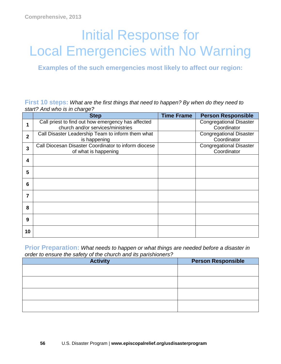# Initial Response for Local Emergencies with No Warning

**Examples of the such emergencies most likely to affect our region:** 

**First 10 steps:** *What are the first things that need to happen? By when do they need to start? And who is in charge?*

|              | <b>Step</b>                                          | <b>Time Frame</b> | <b>Person Responsible</b>      |  |  |
|--------------|------------------------------------------------------|-------------------|--------------------------------|--|--|
|              | Call priest to find out how emergency has affected   |                   | <b>Congregational Disaster</b> |  |  |
|              | church and/or services/ministries                    |                   | Coordinator                    |  |  |
| $\mathbf{2}$ | Call Disaster Leadership Team to inform them what    |                   | <b>Congregational Disaster</b> |  |  |
|              | is happening                                         |                   | Coordinator                    |  |  |
| 3            | Call Diocesan Disaster Coordinator to inform diocese |                   | <b>Congregational Disaster</b> |  |  |
|              | of what is happening                                 |                   | Coordinator                    |  |  |
| 4            |                                                      |                   |                                |  |  |
|              |                                                      |                   |                                |  |  |
| 5            |                                                      |                   |                                |  |  |
|              |                                                      |                   |                                |  |  |
| 6            |                                                      |                   |                                |  |  |
|              |                                                      |                   |                                |  |  |
| 7            |                                                      |                   |                                |  |  |
| 8            |                                                      |                   |                                |  |  |
|              |                                                      |                   |                                |  |  |
| 9            |                                                      |                   |                                |  |  |
| 10           |                                                      |                   |                                |  |  |
|              |                                                      |                   |                                |  |  |

| <b>Activity</b> | <b>Person Responsible</b> |  |  |
|-----------------|---------------------------|--|--|
|                 |                           |  |  |
|                 |                           |  |  |
|                 |                           |  |  |
|                 |                           |  |  |
|                 |                           |  |  |